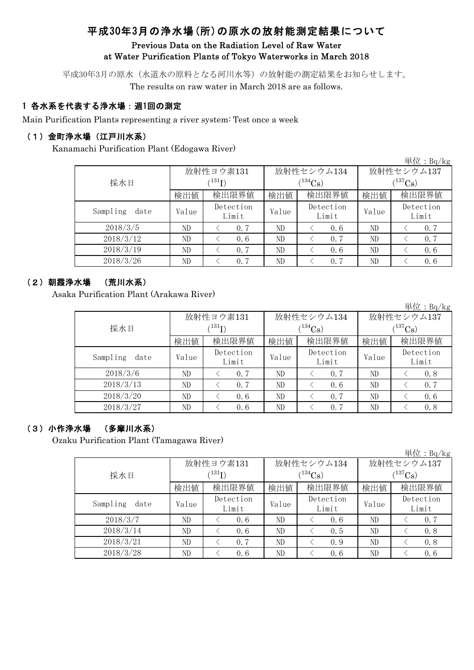# 平成30年3月の浄水場(所)の原水の放射能測定結果について

## Previous Data on the Radiation Level of Raw Water at Water Purification Plants of Tokyo Waterworks in March 2018

平成30年3月の原水(水道水の原料となる河川水等)の放射能の測定結果をお知らせします。 The results on raw water in March 2018 are as follows.

# 1 各水系を代表する浄水場:週1回の測定

Main Purification Plants representing a river system: Test once a week

#### (1)金町浄水場(江戸川水系)

Kanamachi Purification Plant (Edogawa River)

|                  |                      |                    |       |                    |              | 単位: $Bq/kg$        |  |
|------------------|----------------------|--------------------|-------|--------------------|--------------|--------------------|--|
|                  |                      | 放射性ヨウ素131          |       | 放射性セシウム134         | 放射性セシウム137   |                    |  |
| 採水日              | $(^{131}\mathrm{I})$ |                    |       | $(^{134}Cs)$       | $(^{137}Cs)$ |                    |  |
|                  | 検出値                  | 検出限界値              | 検出値   | 検出限界値              | 検出値          | 検出限界値              |  |
| Sampling<br>date | Value                | Detection<br>Limit | Value | Detection<br>Limit | Value        | Detection<br>Limit |  |
| 2018/3/5         | ND                   | 0.7                | ND    | 0.6                | ND           | 0.7                |  |
| 2018/3/12        | ND                   | 0, 6               | ND    | 0.7                | ND           | 0.7                |  |
| 2018/3/19        | ND                   | 0.7                | ND    | 0.6                | ND           | 0.6                |  |
| 2018/3/26        | ND                   | 0.7                | ND    | 0.7                | ND           | 0, 6               |  |

#### (2)朝霞浄水場 (荒川水系)

Asaka Purification Plant (Arakawa River)

単位:Bq/kg

|                  |       | 放射性ヨウ素131                  |       | 放射性セシウム134         | 放射性セシウム137   |                    |  |
|------------------|-------|----------------------------|-------|--------------------|--------------|--------------------|--|
| 採水日              |       | $^{\prime131} \mathrm{I})$ |       | $(134)$ Cs)        | $(^{137}Cs)$ |                    |  |
|                  | 検出値   | 検出限界値                      | 検出値   | 検出限界値              | 検出値          | 検出限界値              |  |
| Sampling<br>date | Value | Detection<br>Limit         | Value | Detection<br>Limit | Value        | Detection<br>Limit |  |
| 2018/3/6         | ND    | 0.7                        | ND    | 0.7                | ND           | 0.8                |  |
| 2018/3/13        | ND    | 0.7                        | ND    | 0.6                | ND           | 0.7                |  |
| 2018/3/20        | ND    | 0.6                        | ND    | 0.7                | ND           | 0.6                |  |
| 2018/3/27        | ND    | 0.6                        | ND    | 0.7                | ND           | 0.8                |  |

#### (3)小作浄水場 (多摩川水系)

Ozaku Purification Plant (Tamagawa River)

|                  |       |                            |       |                    |                       | 単位: Bq/kg          |  |
|------------------|-------|----------------------------|-------|--------------------|-----------------------|--------------------|--|
|                  |       | 放射性ヨウ素131                  |       | 放射性セシウム134         | 放射性セシウム137            |                    |  |
| 採水日              |       | $^{\prime131} \mathrm{I})$ |       | $(134)$ Cs)        | $(^{137}\mathrm{Cs})$ |                    |  |
|                  | 検出値   | 検出限界値                      | 検出値   | 検出限界値              | 検出値                   | 検出限界値              |  |
| Sampling<br>date | Value | Detection<br>Limit         | Value | Detection<br>Limit | Value                 | Detection<br>Limit |  |
| 2018/3/7         | ND    | 0, 6                       | ND    | 0.6                | ND                    | 0.7                |  |
| 2018/3/14        | ND    | 0.6                        | ND    | 0.5                | ND                    | 0.8                |  |
| 2018/3/21        | ND    | 0.7                        | ND    | 0.9                | ND                    | 0.8                |  |
| 2018/3/28        | ND    | 0.6                        | ND    | 0.6                | ND                    | 0, 6               |  |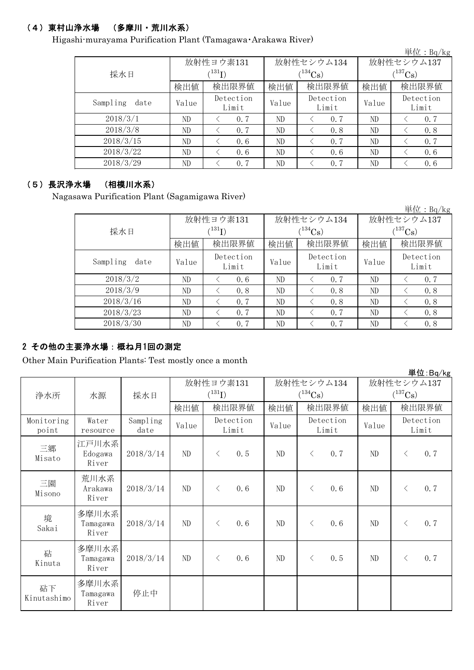# (4)東村山浄水場 (多摩川・荒川水系)

Higashi-murayama Purification Plant (Tamagawa・Arakawa River)

| $\pm 1$ : Dq/ Kg |       |                      |       |                    |              |                    |  |  |  |
|------------------|-------|----------------------|-------|--------------------|--------------|--------------------|--|--|--|
|                  |       | 放射性ヨウ素131            |       | 放射性セシウム134         | 放射性セシウム137   |                    |  |  |  |
| 採水日              |       | $(^{131}\mathrm{I})$ |       | $(134)$ Cs)        | $(^{137}Cs)$ |                    |  |  |  |
|                  | 検出値   | 検出限界値                | 検出値   | 検出限界値              | 検出値          | 検出限界値              |  |  |  |
| Sampling<br>date | Value | Detection<br>Limit   | Value | Detection<br>Limit | Value        | Detection<br>Limit |  |  |  |
| 2018/3/1         | ND    | 0.7                  | ND    | 0.7                | ND           | 0.7                |  |  |  |
| 2018/3/8         | ND    | 0.7                  | ND    | 0.8                | ND           | 0.8                |  |  |  |
| 2018/3/15        | ND    | 0, 6                 | ND    | 0.7                | ND           | 0.7                |  |  |  |
| 2018/3/22        | ND    | 0, 6                 | ND    | 0.6                | ND           | 0.6                |  |  |  |
| 2018/3/29        | ND    | 0.7                  | ND    | 0.7                | ND           | 0, 6               |  |  |  |

#### (5)長沢浄水場 (相模川水系)

Nagasawa Purification Plant (Sagamigawa River)

|                  |                            |                    |       |                    |              | 単位: Bq/kg          |  |
|------------------|----------------------------|--------------------|-------|--------------------|--------------|--------------------|--|
|                  |                            | 放射性ヨウ素131          |       | 放射性セシウム134         | 放射性セシウム137   |                    |  |
| 採水日              | $^{\prime131} \mathrm{I})$ |                    |       | $(^{134}Cs)$       | $(^{137}Cs)$ |                    |  |
|                  | 検出値                        | 検出限界値              | 検出値   | 検出限界値              | 検出値          | 検出限界値              |  |
| Sampling<br>date | Value                      | Detection<br>Limit | Value | Detection<br>Limit | Value        | Detection<br>Limit |  |
| 2018/3/2         | ND                         | 0, 6               | ND    | 0.7                | ND           | 0.7                |  |
| 2018/3/9         | ND                         | 0.8                | ND    | 0.8                | ND           | 0.8                |  |
| 2018/3/16        | ND                         | 0.7                | ND    | 0.8                | ND           | 0.8                |  |
| 2018/3/23        | ND                         | 0.7                | ND    | 0.7                | ND           | 0.8                |  |
| 2018/3/30        | ND                         | 0.7                | ND    | 0.7                | ND           | 0.8                |  |

# 2 その他の主要浄水場:概ね月1回の測定

Other Main Purification Plants: Test mostly once a month

|                     |                            |                  |             |                    |          |                       |                       | $\frac{1}{2}$ $\frac{1}{2}$ $\frac{1}{2}$ $\frac{1}{2}$ $\frac{1}{2}$ $\frac{1}{2}$ $\frac{1}{2}$ $\frac{1}{2}$ $\frac{1}{2}$ $\frac{1}{2}$ $\frac{1}{2}$ $\frac{1}{2}$ |
|---------------------|----------------------------|------------------|-------------|--------------------|----------|-----------------------|-----------------------|-------------------------------------------------------------------------------------------------------------------------------------------------------------------------|
|                     |                            |                  |             | 放射性ヨウ素131          |          | 放射性セシウム134            | 放射性セシウム137            |                                                                                                                                                                         |
| 浄水所                 | 水源                         | 採水日              | $(^{131}I)$ |                    |          | $(^{134}\mathrm{Cs})$ | $(^{137}\mathrm{Cs})$ |                                                                                                                                                                         |
|                     |                            |                  | 検出値         | 検出限界値              | 検出値      | 検出限界値                 | 検出値                   | 検出限界値                                                                                                                                                                   |
| Monitoring<br>point | Water<br>resource          | Sampling<br>date | Value       | Detection<br>Limit | Value    | Detection<br>Limit    | Value                 | Detection<br>Limit                                                                                                                                                      |
| 三郷<br>Misato        | 江戸川水系<br>Edogawa<br>River  | 2018/3/14        | $\rm ND$    | 0.5<br>$\langle$   | $\rm ND$ | 0.7<br>$\langle$      | ND                    | 0.7<br>$\langle$                                                                                                                                                        |
| 三園<br>Misono        | 荒川水系<br>Arakawa<br>River   | 2018/3/14        | $\rm ND$    | 0.6<br>$\langle$   | ND       | 0.6<br>$\langle$      | ND                    | 0.7<br>$\langle$                                                                                                                                                        |
| 境<br>Sakai          | 多摩川水系<br>Tamagawa<br>River | 2018/3/14        | ND          | 0.6<br>$\langle$   | ND       | 0.6<br>$\langle$      | ND                    | 0.7<br>$\langle$                                                                                                                                                        |
| 砧<br>Kinuta         | 多摩川水系<br>Tamagawa<br>River | 2018/3/14        | ND          | 0.6<br>$\langle$   | ND       | 0.5<br>$\langle$      | ND                    | 0.7<br>$\langle$                                                                                                                                                        |
| 砧下<br>Kinutashimo   | 多摩川水系<br>Tamagawa<br>River | 停止中              |             |                    |          |                       |                       |                                                                                                                                                                         |

単位:Bq/kg

出 $\bigoplus$ :  $D \sim /1$ .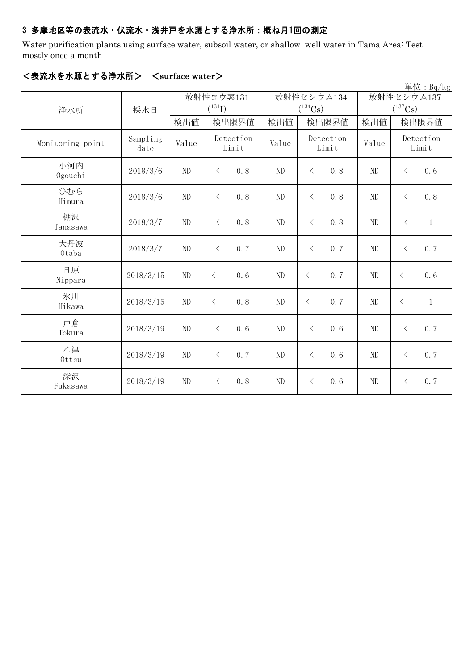## 3 多摩地区等の表流水・伏流水・浅井戸を水源とする浄水所:概ね月1回の測定

Water purification plants using surface water, subsoil water, or shallow well water in Tama Area: Test mostly once a month

| 単位: Bq/kg        |                  |                          |                            |          |                                     |                                     |                           |  |
|------------------|------------------|--------------------------|----------------------------|----------|-------------------------------------|-------------------------------------|---------------------------|--|
| 浄水所              | 採水日              | 放射性ヨウ素131<br>$(^{131}I)$ |                            |          | 放射性セシウム134<br>$(^{134}\mathrm{Cs})$ | 放射性セシウム137<br>$(^{137}\mathrm{Cs})$ |                           |  |
|                  |                  | 検出値                      | 検出限界値                      | 検出値      | 検出限界値                               | 検出値                                 | 検出限界値                     |  |
| Monitoring point | Sampling<br>date | Value                    | Detection<br>Limit         | Value    | Detection<br>Limit                  | Value                               | Detection<br>Limit        |  |
| 小河内<br>Ogouchi   | 2018/3/6         | ND                       | $\langle$<br>0.8           | ND       | 0.8<br>$\langle$                    | ND                                  | 0.6<br>$\langle$          |  |
| ひむら<br>Himura    | 2018/3/6         | ND                       | $\langle$<br>0.8           | ND       | 0.8<br>$\langle$                    | ND                                  | 0.8<br>$\langle$          |  |
| 棚沢<br>Tanasawa   | 2018/3/7         | ND                       | $\langle$<br>0.8           | ND       | $\langle$<br>0.8                    | ND                                  | $\langle$<br>$\mathbf{1}$ |  |
| 大丹波<br>0taba     | 2018/3/7         | ND                       | 0.7<br>$\langle$           | ND       | 0.7<br>$\lt$                        | ND                                  | 0.7<br>$\langle$          |  |
| 日原<br>Nippara    | 2018/3/15        | ND                       | 0.6<br>$\lt$               | ND       | 0.7<br>$\lt$                        | ND                                  | 0.6<br>$\langle$          |  |
| 氷川<br>Hikawa     | 2018/3/15        | ND                       | 0.8<br>$\langle$           | ND       | 0.7<br>$\langle$                    | ND                                  | $\mathbf{1}$<br>$\langle$ |  |
| 戸倉<br>Tokura     | 2018/3/19        | ND                       | 0.6<br>$\langle$           | ND       | 0.6<br>$\langle$                    | $\rm ND$                            | 0.7<br>$\langle$          |  |
| 乙津<br>Ottsu      | 2018/3/19        | ND                       | 0.7<br>$\, \big\langle \,$ | $\rm ND$ | 0.6<br>$\langle$                    | $\rm ND$                            | 0.7<br>$\langle$          |  |
| 深沢<br>Fukasawa   | 2018/3/19        | ND                       | 0.8<br>$\, \big\langle \,$ | $\rm ND$ | 0.6<br>$\langle$                    | $\rm ND$                            | 0.7<br>$\langle$          |  |

## <表流水を水源とする浄水所> <surface water>